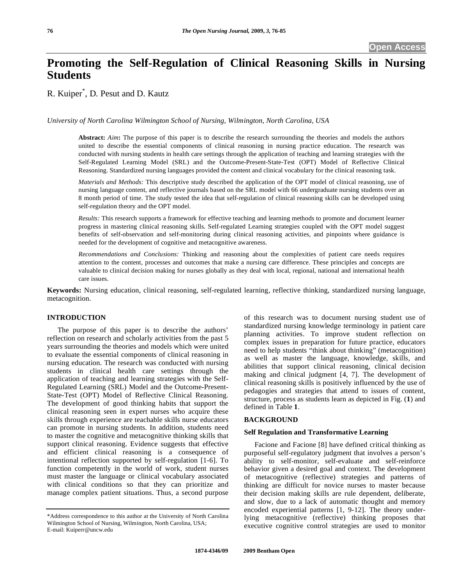# **Promoting the Self-Regulation of Clinical Reasoning Skills in Nursing Students**

R. Kuiper\* , D. Pesut and D. Kautz

*University of North Carolina Wilmington School of Nursing, Wilmington, North Carolina, USA* 

**Abstract:** *Aim***:** The purpose of this paper is to describe the research surrounding the theories and models the authors united to describe the essential components of clinical reasoning in nursing practice education. The research was conducted with nursing students in health care settings through the application of teaching and learning strategies with the Self-Regulated Learning Model (SRL) and the Outcome-Present-State-Test (OPT) Model of Reflective Clinical Reasoning. Standardized nursing languages provided the content and clinical vocabulary for the clinical reasoning task.

*Materials and Methods:* This descriptive study described the application of the OPT model of clinical reasoning, use of nursing language content, and reflective journals based on the SRL model with 66 undergraduate nursing students over an 8 month period of time. The study tested the idea that self-regulation of clinical reasoning skills can be developed using self-regulation theory and the OPT model.

*Results:* This research supports a framework for effective teaching and learning methods to promote and document learner progress in mastering clinical reasoning skills. Self-regulated Learning strategies coupled with the OPT model suggest benefits of self-observation and self-monitoring during clinical reasoning activities, and pinpoints where guidance is needed for the development of cognitive and metacognitive awareness.

*Recommendations and Conclusions:* Thinking and reasoning about the complexities of patient care needs requires attention to the content, processes and outcomes that make a nursing care difference. These principles and concepts are valuable to clinical decision making for nurses globally as they deal with local, regional, national and international health care issues.

**Keywords:** Nursing education, clinical reasoning, self-regulated learning, reflective thinking, standardized nursing language, metacognition.

# **INTRODUCTION**

 The purpose of this paper is to describe the authors' reflection on research and scholarly activities from the past 5 years surrounding the theories and models which were united to evaluate the essential components of clinical reasoning in nursing education. The research was conducted with nursing students in clinical health care settings through the application of teaching and learning strategies with the Self-Regulated Learning (SRL) Model and the Outcome-Present-State-Test (OPT) Model of Reflective Clinical Reasoning. The development of good thinking habits that support the clinical reasoning seen in expert nurses who acquire these skills through experience are teachable skills nurse educators can promote in nursing students. In addition, students need to master the cognitive and metacognitive thinking skills that support clinical reasoning. Evidence suggests that effective and efficient clinical reasoning is a consequence of intentional reflection supported by self-regulation [1-6]. To function competently in the world of work, student nurses must master the language or clinical vocabulary associated with clinical conditions so that they can prioritize and manage complex patient situations. Thus, a second purpose

of this research was to document nursing student use of standardized nursing knowledge terminology in patient care planning activities. To improve student reflection on complex issues in preparation for future practice, educators need to help students "think about thinking" (metacognition) as well as master the language, knowledge, skills, and abilities that support clinical reasoning, clinical decision making and clinical judgment [4, 7]. The development of clinical reasoning skills is positively influenced by the use of pedagogies and strategies that attend to issues of content, structure, process as students learn as depicted in Fig. (**1**) and defined in Table **1**.

# **BACKGROUND**

## **Self Regulation and Transformative Learning**

 Facione and Facione [8] have defined critical thinking as purposeful self-regulatory judgment that involves a person's ability to self-monitor, self-evaluate and self-reinforce behavior given a desired goal and context. The development of metacognitive (reflective) strategies and patterns of thinking are difficult for novice nurses to master because their decision making skills are rule dependent, deliberate, and slow, due to a lack of automatic thought and memory encoded experiential patterns [1, 9-12]. The theory underlying metacognitive (reflective) thinking proposes that executive cognitive control strategies are used to monitor

<sup>\*</sup>Address correspondence to this author at the University of North Carolina Wilmington School of Nursing, Wilmington, North Carolina, USA; E-mail: Kuiperr@uncw.edu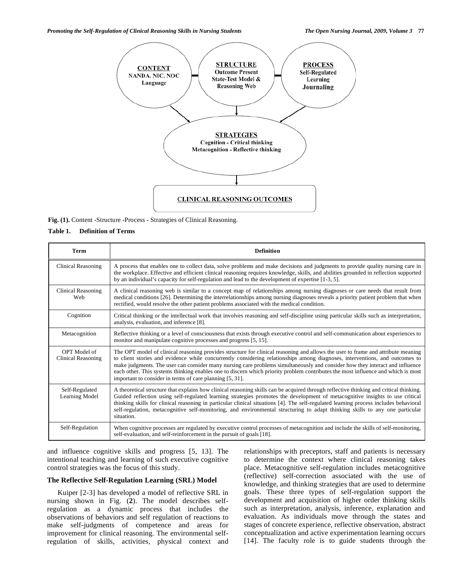*Promoting the Self-Regulation of Clinical Reasoning Skills in Nursing Students The Open Nursing Journal, 2009, Volume 3* **77**



**Fig. (1).** Content -Structure -Process - Strategies of Clinical Reasoning.

## **Table 1. Definition of Terms**

| <b>Term</b>                        | <b>Definition</b>                                                                                                                                                                                                                                                                                                                                                                                                                                                                                                                                                                               |  |  |  |
|------------------------------------|-------------------------------------------------------------------------------------------------------------------------------------------------------------------------------------------------------------------------------------------------------------------------------------------------------------------------------------------------------------------------------------------------------------------------------------------------------------------------------------------------------------------------------------------------------------------------------------------------|--|--|--|
| <b>Clinical Reasoning</b>          | A process that enables one to collect data, solve problems and make decisions and judgments to provide quality nursing care in<br>the workplace. Effective and efficient clinical reasoning requires knowledge, skills, and abilities grounded in reflection supported<br>by an individual's capacity for self-regulation and lead to the development of expertise $[1-3, 5]$ .                                                                                                                                                                                                                 |  |  |  |
| <b>Clinical Reasoning</b><br>Web   | A clinical reasoning web is similar to a concept map of relationships among nursing diagnoses or care needs that result from<br>medical conditions [26]. Determining the interrelationships among nursing diagnoses reveals a priority patient problem that when<br>rectified, would resolve the other patient problems associated with the medical condition.                                                                                                                                                                                                                                  |  |  |  |
| Cognition                          | Critical thinking or the intellectual work that involves reasoning and self-discipline using particular skills such as interpretation,<br>analysis, evaluation, and inference [8].                                                                                                                                                                                                                                                                                                                                                                                                              |  |  |  |
| Metacognition                      | Reflective thinking or a level of consciousness that exists through executive control and self-communication about experiences to<br>monitor and manipulate cognitive processes and progress [5, 15].                                                                                                                                                                                                                                                                                                                                                                                           |  |  |  |
| OPT Model of<br>Clinical Reasoning | The OPT model of clinical reasoning provides structure for clinical reasoning and allows the user to frame and attribute meaning<br>to client stories and evidence while concurrently considering relationships among diagnoses, interventions, and outcomes to<br>make judgments. The user can consider many nursing care problems simultaneously and consider how they interact and influence<br>each other. This systems thinking enables one to discern which priority problem contributes the most influence and which is most<br>important to consider in terms of care planning [5, 31]. |  |  |  |
| Self-Regulated<br>Learning Model   | A theoretical structure that explains how clinical reasoning skills can be acquired through reflective thinking and critical thinking.<br>Guided reflection using self-regulated learning strategies promotes the development of metacognitive insights to use critical<br>thinking skills for clinical reasoning in particular clinical situations [4]. The self-regulated learning process includes behavioral<br>self-regulation, metacognitive self-monitoring, and environmental structuring to adapt thinking skills to any one particular<br>situation.                                  |  |  |  |
| Self-Regulation                    | When cognitive processes are regulated by executive control processes of metacognition and include the skills of self-monitoring,<br>self-evaluation, and self-reinforcement in the pursuit of goals [18].                                                                                                                                                                                                                                                                                                                                                                                      |  |  |  |

and influence cognitive skills and progress [5, 13]. The intentional teaching and learning of such executive cognitive control strategies was the focus of this study.

# **The Reflective Self-Regulation Learning (SRL) Model**

 Kuiper [2-3] has developed a model of reflective SRL in nursing shown in Fig. (**2**). The model describes selfregulation as a dynamic process that includes the observations of behaviors and self regulation of reactions to make self-judgments of competence and areas for improvement for clinical reasoning. The environmental selfregulation of skills, activities, physical context and relationships with preceptors, staff and patients is necessary to determine the context where clinical reasoning takes place. Metacognitive self-regulation includes metacognitive (reflective) self-correction associated with the use of knowledge, and thinking strategies that are used to determine goals. These three types of self-regulation support the development and acquisition of higher order thinking skills such as interpretation, analysis, inference, explanation and evaluation. As individuals move through the states and stages of concrete experience, reflective observation, abstract conceptualization and active experimentation learning occurs [14]. The faculty role is to guide students through the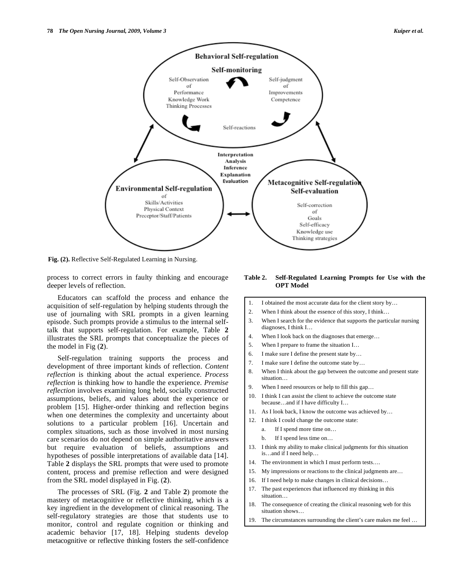



**Fig. (2).** Reflective Self-Regulated Learning in Nursing.

process to correct errors in faulty thinking and encourage deeper levels of reflection.

 Educators can scaffold the process and enhance the acquisition of self-regulation by helping students through the use of journaling with SRL prompts in a given learning episode. Such prompts provide a stimulus to the internal selftalk that supports self-regulation. For example, Table **2** illustrates the SRL prompts that conceptualize the pieces of the model in Fig (**2**).

 Self-regulation training supports the process and development of three important kinds of reflection. *Content reflection* is thinking about the actual experience. *Process reflection* is thinking how to handle the experience. *Premise reflection* involves examining long held, socially constructed assumptions, beliefs, and values about the experience or problem [15]. Higher-order thinking and reflection begins when one determines the complexity and uncertainty about solutions to a particular problem [16]. Uncertain and complex situations, such as those involved in most nursing care scenarios do not depend on simple authoritative answers but require evaluation of beliefs, assumptions and hypotheses of possible interpretations of available data [14]. Table **2** displays the SRL prompts that were used to promote content, process and premise reflection and were designed from the SRL model displayed in Fig. (**2**).

 The processes of SRL (Fig. **2** and Table **2**) promote the mastery of metacognitive or reflective thinking, which is a key ingredient in the development of clinical reasoning. The self-regulatory strategies are those that students use to monitor, control and regulate cognition or thinking and academic behavior [17, 18]. Helping students develop metacognitive or reflective thinking fosters the self-confidence

# **Table 2. Self-Regulated Learning Prompts for Use with the OPT Model**

- 1. I obtained the most accurate data for the client story by…
- 2. When I think about the essence of this story, I think…
- 3. When I search for the evidence that supports the particular nursing diagnoses, I think I…
- 4. When I look back on the diagnoses that emerge…
- 5. When I prepare to frame the situation I…
- 6. I make sure I define the present state by…
- 7. I make sure I define the outcome state by…
- 8. When I think about the gap between the outcome and present state situation…
- 9. When I need resources or help to fill this gap…
- 10. I think I can assist the client to achieve the outcome state because…and if I have difficulty I…
- 11. As I look back, I know the outcome was achieved by...
- 12. I think I could change the outcome state:
	- a. If I spend more time on…
	- b. If I spend less time on…
- 13. I think my ability to make clinical judgments for this situation is…and if I need help…
- 14. The environment in which I must perform tests….
- 15. My impressions or reactions to the clinical judgments are…
- 16. If I need help to make changes in clinical decisions…
- 17. The past experiences that influenced my thinking in this situation…
- 18. The consequence of creating the clinical reasoning web for this situation shows…
- 19. The circumstances surrounding the client's care makes me feel …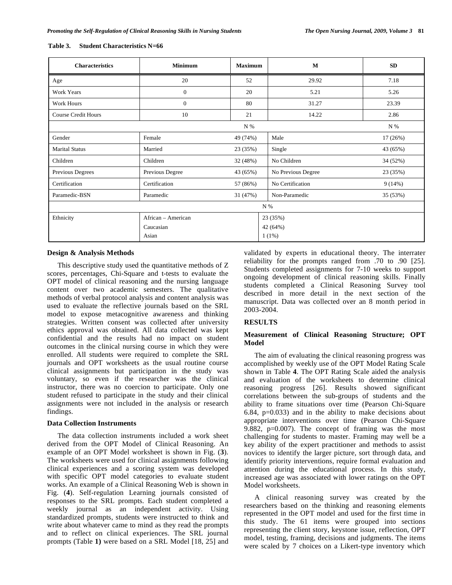| <b>Characteristics</b>     | <b>Minimum</b>     | <b>Maximum</b> | M                  | <b>SD</b> |  |  |  |
|----------------------------|--------------------|----------------|--------------------|-----------|--|--|--|
| Age                        | 20                 | 52             | 29.92              | 7.18      |  |  |  |
| Work Years                 | $\overline{0}$     | 20             | 5.21               | 5.26      |  |  |  |
| Work Hours                 | $\overline{0}$     | 80             | 31.27              | 23.39     |  |  |  |
| <b>Course Credit Hours</b> | 10                 | 21             | 14.22              | 2.86      |  |  |  |
|                            |                    | N %            |                    | N %       |  |  |  |
| Gender                     | Female             | 49 (74%)       | Male               | 17(26%)   |  |  |  |
| <b>Marital Status</b>      | Married            | 23 (35%)       | Single             | 43 (65%)  |  |  |  |
| Children                   | Children           | 32 (48%)       | No Children        | 34 (52%)  |  |  |  |
| Previous Degrees           | Previous Degree    | 43 (65%)       | No Previous Degree | 23 (35%)  |  |  |  |
| Certification              | Certification      | 57 (86%)       | No Certification   | 9(14%)    |  |  |  |
| Paramedic-BSN              | Paramedic          | 31 (47%)       | Non-Paramedic      | 35 (53%)  |  |  |  |
| N %                        |                    |                |                    |           |  |  |  |
| Ethnicity                  | African – American |                | 23 (35%)           |           |  |  |  |
|                            | Caucasian          |                | 42 (64%)           |           |  |  |  |
|                            | Asian              |                | $1(1\%)$           |           |  |  |  |

#### **Table 3. Student Characteristics N=66**

# **Design & Analysis Methods**

 This descriptive study used the quantitative methods of Z scores, percentages, Chi-Square and t-tests to evaluate the OPT model of clinical reasoning and the nursing language content over two academic semesters. The qualitative methods of verbal protocol analysis and content analysis was used to evaluate the reflective journals based on the SRL model to expose metacognitive awareness and thinking strategies. Written consent was collected after university ethics approval was obtained. All data collected was kept confidential and the results had no impact on student outcomes in the clinical nursing course in which they were enrolled. All students were required to complete the SRL journals and OPT worksheets as the usual routine course clinical assignments but participation in the study was voluntary, so even if the researcher was the clinical instructor, there was no coercion to participate. Only one student refused to participate in the study and their clinical assignments were not included in the analysis or research findings.

## **Data Collection Instruments**

 The data collection instruments included a work sheet derived from the OPT Model of Clinical Reasoning. An example of an OPT Model worksheet is shown in Fig. (**3**). The worksheets were used for clinical assignments following clinical experiences and a scoring system was developed with specific OPT model categories to evaluate student works. An example of a Clinical Reasoning Web is shown in Fig. (**4**). Self-regulation Learning journals consisted of responses to the SRL prompts. Each student completed a weekly journal as an independent activity. Using standardized prompts, students were instructed to think and write about whatever came to mind as they read the prompts and to reflect on clinical experiences. The SRL journal prompts (Table **1)** were based on a SRL Model [18, 25] and

validated by experts in educational theory. The interrater reliability for the prompts ranged from .70 to .90 [25]. Students completed assignments for 7-10 weeks to support ongoing development of clinical reasoning skills. Finally students completed a Clinical Reasoning Survey tool described in more detail in the next section of the manuscript. Data was collected over an 8 month period in 2003-2004.

# **RESULTS**

# **Measurement of Clinical Reasoning Structure; OPT Model**

 The aim of evaluating the clinical reasoning progress was accomplished by weekly use of the OPT Model Rating Scale shown in Table **4**. The OPT Rating Scale aided the analysis and evaluation of the worksheets to determine clinical reasoning progress [26]. Results showed significant correlations between the sub-groups of students and the ability to frame situations over time (Pearson Chi-Square 6.84,  $p=0.033$ ) and in the ability to make decisions about appropriate interventions over time (Pearson Chi-Square 9.882,  $p=0.007$ ). The concept of framing was the most challenging for students to master. Framing may well be a key ability of the expert practitioner and methods to assist novices to identify the larger picture, sort through data, and identify priority interventions, require formal evaluation and attention during the educational process. In this study, increased age was associated with lower ratings on the OPT Model worksheets.

 A clinical reasoning survey was created by the researchers based on the thinking and reasoning elements represented in the OPT model and used for the first time in this study. The 61 items were grouped into sections representing the client story, keystone issue, reflection, OPT model, testing, framing, decisions and judgments. The items were scaled by 7 choices on a Likert-type inventory which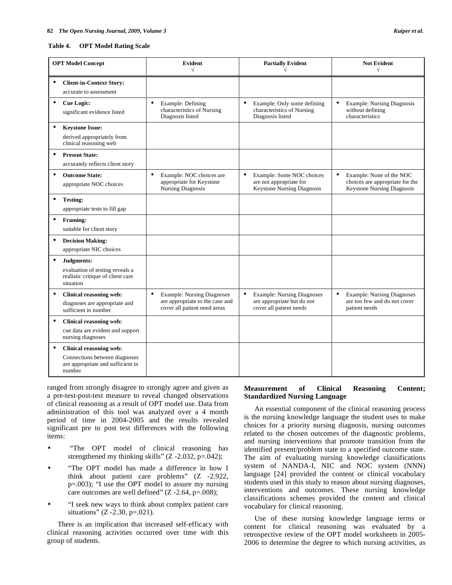#### **Table 4. OPT Model Rating Scale**

| <b>OPT Model Concept</b> |                                                                                                         | <b>Evident</b><br>$\sqrt{ }$                                                                                      | <b>Partially Evident</b>                                                                                | <b>Not Evident</b><br>$\sqrt{ }$                                                                              |
|--------------------------|---------------------------------------------------------------------------------------------------------|-------------------------------------------------------------------------------------------------------------------|---------------------------------------------------------------------------------------------------------|---------------------------------------------------------------------------------------------------------------|
|                          | <b>Client-in-Context Story:</b><br>accurate to assessment                                               |                                                                                                                   |                                                                                                         |                                                                                                               |
| $\bullet$                | <b>Cue Logic:</b><br>significant evidence listed                                                        | $\bullet$<br>Example: Defining<br>characteristics of Nursing<br>Diagnosis listed                                  | $\bullet$<br>Example: Only some defining<br>characteristics of Nursing<br>Diagnosis listed              | $\bullet$<br><b>Example: Nursing Diagnosis</b><br>without defining<br>characteristics                         |
| $\bullet$                | <b>Keystone Issue:</b><br>derived appropriately from<br>clinical reasoning web                          |                                                                                                                   |                                                                                                         |                                                                                                               |
| $\bullet$                | <b>Present State:</b><br>accurately reflects client story                                               |                                                                                                                   |                                                                                                         |                                                                                                               |
| $\bullet$                | <b>Outcome State:</b><br>appropriate NOC choices                                                        | $\bullet$<br>Example: NOC choices are<br>appropriate for Keystone<br><b>Nursing Diagnosis</b>                     | Example: Some NOC choices<br>are not appropriate for<br><b>Keystone Nursing Diagnosis</b>               | $\bullet$<br>Example: None of the NOC<br>choices are appropriate for the<br><b>Keystone Nursing Diagnosis</b> |
| $\bullet$                | <b>Testing:</b><br>appropriate tests to fill gap                                                        |                                                                                                                   |                                                                                                         |                                                                                                               |
| $\bullet$                | Framing:<br>suitable for client story                                                                   |                                                                                                                   |                                                                                                         |                                                                                                               |
| $\bullet$                | <b>Decision Making:</b><br>appropriate NIC choices                                                      |                                                                                                                   |                                                                                                         |                                                                                                               |
| $\bullet$                | Judgments:<br>evaluation of testing reveals a<br>realistic critique of client care<br>situation         |                                                                                                                   |                                                                                                         |                                                                                                               |
| $\bullet$                | Clinical reasoning web:<br>diagnoses are appropriate and<br>sufficient in number                        | $\bullet$<br><b>Example: Nursing Diagnoses</b><br>are appropriate to the case and<br>cover all patient need areas | $\bullet$<br><b>Example: Nursing Diagnoses</b><br>are appropriate but do not<br>cover all patient needs | $\bullet$<br><b>Example: Nursing Diagnoses</b><br>are too few and do not cover<br>patient needs               |
| $\bullet$                | Clinical reasoning web:<br>cue data are evident and support<br>nursing diagnoses                        |                                                                                                                   |                                                                                                         |                                                                                                               |
| $\bullet$                | Clinical reasoning web:<br>Connections between diagnoses<br>are appropriate and sufficient in<br>number |                                                                                                                   |                                                                                                         |                                                                                                               |

ranged from strongly disagree to strongly agree and given as a pre-test-post-test measure to reveal changed observations of clinical reasoning as a result of OPT model use. Data from administration of this tool was analyzed over a 4 month period of time in 2004-2005 and the results revealed significant pre to post test differences with the following items:

- "The OPT model of clinical reasoning has strengthened my thinking skills"  $(Z - 2.032, p = .042)$ ;
- "The OPT model has made a difference in how I think about patient care problems" (Z -2.922, p=.003); "I use the OPT model to assure my nursing care outcomes are well defined"  $(Z - 2.64, p = .008)$ ;
- "I seek new ways to think about complex patient care situations" ( $Z - 2.30$ ,  $p = .021$ ).

 There is an implication that increased self-efficacy with clinical reasoning activities occurred over time with this group of students.

# **Measurement of Clinical Reasoning Content; Standardized Nursing Language**

 An essential component of the clinical reasoning process is the nursing knowledge language the student uses to make choices for a priority nursing diagnosis, nursing outcomes related to the chosen outcomes of the diagnostic problems, and nursing interventions that promote transition from the identified present/problem state to a specified outcome state. The aim of evaluating nursing knowledge classifications system of NANDA-I, NIC and NOC system (NNN) language [24] provided the content or clinical vocabulary students used in this study to reason about nursing diagnoses, interventions and outcomes. These nursing knowledge classifications schemes provided the content and clinical vocabulary for clinical reasoning.

 Use of these nursing knowledge language terms or content for clinical reasoning was evaluated by a retrospective review of the OPT model worksheets in 2005- 2006 to determine the degree to which nursing activities, as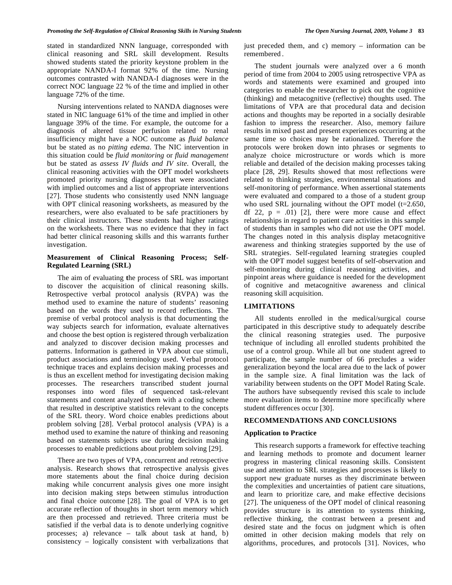stated in standardized NNN language, corresponded with clinical reasoning and SRL skill development. Results showed students stated the priority keystone problem in the appropriate NANDA-I format 92% of the time. Nursing outcomes contrasted with NANDA-I diagnoses were in the correct NOC language 22 % of the time and implied in other language 72% of the time.

 Nursing interventions related to NANDA diagnoses were stated in NIC language 61% of the time and implied in other language 39% of the time. For example, the outcome for a diagnosis of altered tissue perfusion related to renal insufficiency might have a NOC outcome as *fluid balance* but be stated as no *pitting edema*. The NIC intervention in this situation could be *fluid monitoring* or *fluid management* but be stated as *assess IV fluids and IV site*. Overall, the clinical reasoning activities with the OPT model worksheets promoted priority nursing diagnoses that were associated with implied outcomes and a list of appropriate interventions [27]. Those students who consistently used NNN language with OPT clinical reasoning worksheets, as measured by the researchers, were also evaluated to be safe practitioners by their clinical instructors. These students had higher ratings on the worksheets. There was no evidence that they in fact had better clinical reasoning skills and this warrants further investigation.

# **Measurement of Clinical Reasoning Process; Self-Regulated Learning (SRL)**

 The aim of evaluating **t**he process of SRL was important to discover the acquisition of clinical reasoning skills. Retrospective verbal protocol analysis (RVPA) was the method used to examine the nature of students' reasoning based on the words they used to record reflections. The premise of verbal protocol analysis is that documenting the way subjects search for information, evaluate alternatives and choose the best option is registered through verbalization and analyzed to discover decision making processes and patterns. Information is gathered in VPA about cue stimuli, product associations and terminology used. Verbal protocol technique traces and explains decision making processes and is thus an excellent method for investigating decision making processes. The researchers transcribed student journal responses into word files of sequenced task-relevant statements and content analyzed them with a coding scheme that resulted in descriptive statistics relevant to the concepts of the SRL theory. Word choice enables predictions about problem solving [28]. Verbal protocol analysis (VPA) is a method used to examine the nature of thinking and reasoning based on statements subjects use during decision making processes to enable predictions about problem solving [29].

 There are two types of VPA, concurrent and retrospective analysis. Research shows that retrospective analysis gives more statements about the final choice during decision making while concurrent analysis gives one more insight into decision making steps between stimulus introduction and final choice outcome [28]. The goal of VPA is to get accurate reflection of thoughts in short term memory which are then processed and retrieved. Three criteria must be satisfied if the verbal data is to denote underlying cognitive processes; a) relevance – talk about task at hand, b) consistency – logically consistent with verbalizations that

just preceded them, and c) memory – information can be remembered .

 The student journals were analyzed over a 6 month period of time from 2004 to 2005 using retrospective VPA as words and statements were examined and grouped into categories to enable the researcher to pick out the cognitive (thinking) and metacognitive (reflective) thoughts used. The limitations of VPA are that procedural data and decision actions and thoughts may be reported in a socially desirable fashion to impress the researcher. Also, memory failure results in mixed past and present experiences occurring at the same time so choices may be rationalized. Therefore the protocols were broken down into phrases or segments to analyze choice microstructure or words which is more reliable and detailed of the decision making processes taking place [28, 29]. Results showed that most reflections were related to thinking strategies, environmental situations and self-monitoring of performance. When assertional statements were evaluated and compared to a those of a student group who used SRL journaling without the OPT model (t=2.650, df 22,  $p = .01$  [2], there were more cause and effect relationships in regard to patient care activities in this sample of students than in samples who did not use the OPT model. The changes noted in this analysis display metacognitive awareness and thinking strategies supported by the use of SRL strategies. Self-regulated learning strategies coupled with the OPT model suggest benefits of self-observation and self-monitoring during clinical reasoning activities, and pinpoint areas where guidance is needed for the development of cognitive and metacognitive awareness and clinical reasoning skill acquisition.

# **LIMITATIONS**

 All students enrolled in the medical/surgical course participated in this descriptive study to adequately describe the clinical reasoning strategies used. The purposive technique of including all enrolled students prohibited the use of a control group. While all but one student agreed to participate, the sample number of 66 precludes a wider generalization beyond the local area due to the lack of power in the sample size. A final limitation was the lack of variability between students on the OPT Model Rating Scale. The authors have subsequently revised this scale to include more evaluation items to determine more specifically where student differences occur [30].

# **RECOMMENDATIONS AND CONCLUSIONS**

# **Application to Practice**

 This research supports a framework for effective teaching and learning methods to promote and document learner progress in mastering clinical reasoning skills. Consistent use and attention to SRL strategies and processes is likely to support new graduate nurses as they discriminate between the complexities and uncertainties of patient care situations, and learn to prioritize care, and make effective decisions [27]. The uniqueness of the OPT model of clinical reasoning provides structure is its attention to systems thinking, reflective thinking, the contrast between a present and desired state and the focus on judgment which is often omitted in other decision making models that rely on algorithms, procedures, and protocols [31]. Novices, who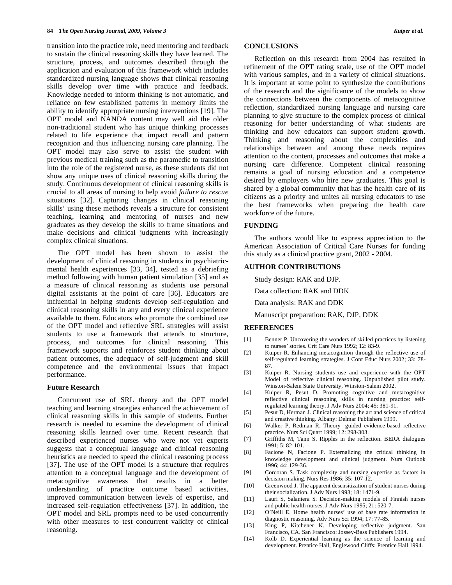transition into the practice role, need mentoring and feedback to sustain the clinical reasoning skills they have learned. The structure, process, and outcomes described through the application and evaluation of this framework which includes standardized nursing language shows that clinical reasoning skills develop over time with practice and feedback. Knowledge needed to inform thinking is not automatic, and reliance on few established patterns in memory limits the ability to identify appropriate nursing interventions [19]. The OPT model and NANDA content may well aid the older non-traditional student who has unique thinking processes related to life experience that impact recall and pattern recognition and thus influencing nursing care planning. The OPT model may also serve to assist the student with previous medical training such as the paramedic to transition into the role of the registered nurse, as these students did not show any unique uses of clinical reasoning skills during the study. Continuous development of clinical reasoning skills is crucial to all areas of nursing to help avoid *failure to rescue* situations [32]. Capturing changes in clinical reasoning skills' using these methods reveals a structure for consistent teaching, learning and mentoring of nurses and new graduates as they develop the skills to frame situations and make decisions and clinical judgments with increasingly complex clinical situations.

 The OPT model has been shown to assist the development of clinical reasoning in students in psychiatricmental health experiences [33, 34], tested as a debriefing method following with human patient simulation [35] and as a measure of clinical reasoning as students use personal digital assistants at the point of care [36]. Educators are influential in helping students develop self-regulation and clinical reasoning skills in any and every clinical experience available to them. Educators who promote the combined use of the OPT model and reflective SRL strategies will assist students to use a framework that attends to structure, process, and outcomes for clinical reasoning. This framework supports and reinforces student thinking about patient outcomes, the adequacy of self-judgment and skill competence and the environmental issues that impact performance.

#### **Future Research**

 Concurrent use of SRL theory and the OPT model teaching and learning strategies enhanced the achievement of clinical reasoning skills in this sample of students. Further research is needed to examine the development of clinical reasoning skills learned over time. Recent research that described experienced nurses who were not yet experts suggests that a conceptual language and clinical reasoning heuristics are needed to speed the clinical reasoning process [37]. The use of the OPT model is a structure that requires attention to a conceptual language and the development of metacognitive awareness that results in a better understanding of practice outcome based activities, improved communication between levels of expertise, and increased self-regulation effectiveness [37]. In addition, the OPT model and SRL prompts need to be used concurrently with other measures to test concurrent validity of clinical reasoning.

# **CONCLUSIONS**

 Reflection on this research from 2004 has resulted in refinement of the OPT rating scale, use of the OPT model with various samples, and in a variety of clinical situations. It is important at some point to synthesize the contributions of the research and the significance of the models to show the connections between the components of metacognitive reflection, standardized nursing language and nursing care planning to give structure to the complex process of clinical reasoning for better understanding of what students are thinking and how educators can support student growth. Thinking and reasoning about the complexities and relationships between and among these needs requires attention to the content, processes and outcomes that make a nursing care difference. Competent clinical reasoning remains a goal of nursing education and a competence desired by employers who hire new graduates. This goal is shared by a global community that has the health care of its citizens as a priority and unites all nursing educators to use the best frameworks when preparing the health care workforce of the future.

## **FUNDING**

 The authors would like to express appreciation to the American Association of Critical Care Nurses for funding this study as a clinical practice grant, 2002 - 2004.

#### **AUTHOR CONTRIBUTIONS**

Study design: RAK and DJP.

Data collection: RAK and DDK

Data analysis: RAK and DDK

Manuscript preparation: RAK, DJP, DDK

## **REFERENCES**

- [1] Benner P. Uncovering the wonders of skilled practices by listening to nurses' stories. Crit Care Nurs 1992; 12: 83-9.
- [2] Kuiper R. Enhancing metacognition through the reflective use of self-regulated learning strategies. J Cont Educ Nurs 2002; 33: 78- 87.
- [3] Kuiper R. Nursing students use and experience with the OPT Model of reflective clinical reasoning. Unpublished pilot study. Winston-Salem State University, Winston-Salem 2002.
- [4] Kuiper R, Pesut D. Promoting cognitive and metacognitive reflective clinical reasoning skills in nursing practice: selfregulated learning theory. J Adv Nurs 2004; 45: 381-91.
- [5] Pesut D, Herman J. Clinical reasoning the art and science of critical and creative thinking. Albany: Delmar Publishers 1999.
- [6] Walker P, Redman R. Theory- guided evidence-based reflective practice. Nurs Sci Quart 1999; 12: 298-303.
- [7] Griffiths M, Tann S. Ripples in the reflection. BERA dialogues 1991; 5: 82-101.
- [8] Facione N, Facione P. Externalizing the critical thinking in knowledge development and clinical judgment. Nurs Outlook 1996; 44: 129-36.
- [9] Corcoran S. Task complexity and nursing expertise as factors in decision making. Nurs Res 1986; 35: 107-12.
- [10] Greenwood J. The apparent desensitization of student nurses during their socialization. J Adv Nurs 1993; 18: 1471-9.
- [11] Lauri S, Salantera S. Decision-making models of Finnish nurses and public health nurses. J Adv Nurs 1995; 21: 520-7.
- [12] O'Neill E. Home health nurses' use of base rate information in diagnostic reasoning. Adv Nurs Sci 1994; 17: 77-85.
- [13] King P, Kitchener K. Developing reflective judgment. San Francisco, CA. San Francisco: Jossey-Bass Publishers 1994.
- [14] Kolb D. Experiential learning as the science of learning and development. Prentice Hall, Englewood Cliffs: Prentice Hall 1994.